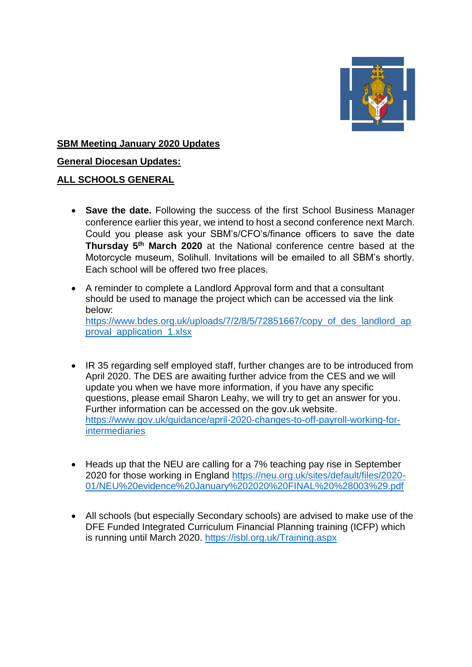

### **SBM Meeting January 2020 Updates**

**General Diocesan Updates:**

### **ALL SCHOOLS GENERAL**

- **Save the date.** Following the success of the first School Business Manager conference earlier this year, we intend to host a second conference next March. Could you please ask your SBM's/CFO's/finance officers to save the date **Thursday 5th March 2020** at the National conference centre based at the Motorcycle museum, Solihull. Invitations will be emailed to all SBM's shortly. Each school will be offered two free places.
- A reminder to complete a Landlord Approval form and that a consultant should be used to manage the project which can be accessed via the link below: [https://www.bdes.org.uk/uploads/7/2/8/5/72851667/copy\\_of\\_des\\_landlord\\_ap](https://www.bdes.org.uk/uploads/7/2/8/5/72851667/copy_of_des_landlord_approval_application_1.xlsx) [proval\\_application\\_1.xlsx](https://www.bdes.org.uk/uploads/7/2/8/5/72851667/copy_of_des_landlord_approval_application_1.xlsx)
- IR 35 regarding self employed staff, further changes are to be introduced from April 2020. The DES are awaiting further advice from the CES and we will update you when we have more information, if you have any specific questions, please email Sharon Leahy, we will try to get an answer for you. Further information can be accessed on the gov.uk website. [https://www.gov.uk/guidance/april-2020-changes-to-off-payroll-working-for](https://www.gov.uk/guidance/april-2020-changes-to-off-payroll-working-for-intermediaries)[intermediaries](https://www.gov.uk/guidance/april-2020-changes-to-off-payroll-working-for-intermediaries)
- Heads up that the NEU are calling for a 7% teaching pay rise in September 2020 for those working in England [https://neu.org.uk/sites/default/files/2020-](https://neu.org.uk/sites/default/files/2020-01/NEU%20evidence%20January%202020%20FINAL%20%28003%29.pdf) [01/NEU%20evidence%20January%202020%20FINAL%20%28003%29.pdf](https://neu.org.uk/sites/default/files/2020-01/NEU%20evidence%20January%202020%20FINAL%20%28003%29.pdf)
- All schools (but especially Secondary schools) are advised to make use of the DFE Funded Integrated Curriculum Financial Planning training (ICFP) which is running until March 2020.<https://isbl.org.uk/Training.aspx>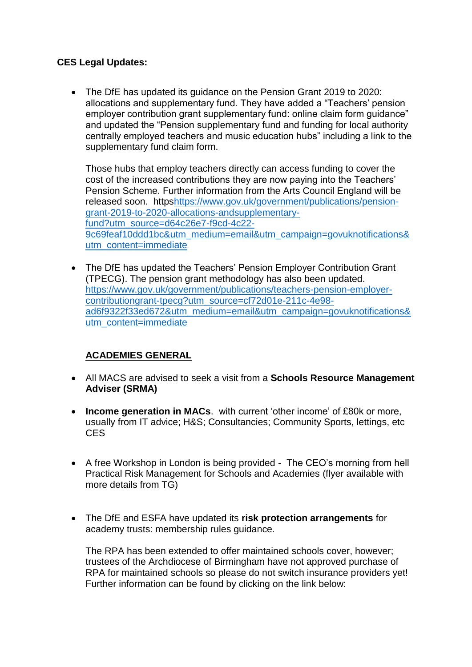### **CES Legal Updates:**

 The DfE has updated its guidance on the Pension Grant 2019 to 2020: allocations and supplementary fund. They have added a "Teachers' pension employer contribution grant supplementary fund: online claim form guidance" and updated the "Pension supplementary fund and funding for local authority centrally employed teachers and music education hubs" including a link to the supplementary fund claim form.

Those hubs that employ teachers directly can access funding to cover the cost of the increased contributions they are now paying into the Teachers' Pension Scheme. Further information from the Arts Council England will be released soon. http[shttps://www.gov.uk/government/publications/pension](https://www.gov.uk/government/publications/pension-grant-2019-to-2020-allocations-andsupplementary-fund?utm_source=d64c26e7-f9cd-4c22-9c69feaf10ddd1bc&utm_medium=email&utm_campaign=govuknotifications&utm_content=immediate)[grant-2019-to-2020-allocations-andsupplementary](https://www.gov.uk/government/publications/pension-grant-2019-to-2020-allocations-andsupplementary-fund?utm_source=d64c26e7-f9cd-4c22-9c69feaf10ddd1bc&utm_medium=email&utm_campaign=govuknotifications&utm_content=immediate)[fund?utm\\_source=d64c26e7-f9cd-4c22-](https://www.gov.uk/government/publications/pension-grant-2019-to-2020-allocations-andsupplementary-fund?utm_source=d64c26e7-f9cd-4c22-9c69feaf10ddd1bc&utm_medium=email&utm_campaign=govuknotifications&utm_content=immediate) [9c69feaf10ddd1bc&utm\\_medium=email&utm\\_campaign=govuknotifications&](https://www.gov.uk/government/publications/pension-grant-2019-to-2020-allocations-andsupplementary-fund?utm_source=d64c26e7-f9cd-4c22-9c69feaf10ddd1bc&utm_medium=email&utm_campaign=govuknotifications&utm_content=immediate) [utm\\_content=immediate](https://www.gov.uk/government/publications/pension-grant-2019-to-2020-allocations-andsupplementary-fund?utm_source=d64c26e7-f9cd-4c22-9c69feaf10ddd1bc&utm_medium=email&utm_campaign=govuknotifications&utm_content=immediate)

• The DfE has updated the Teachers' Pension Employer Contribution Grant (TPECG). The pension grant methodology has also been updated. [https://www.gov.uk/government/publications/teachers-pension-employer](https://www.gov.uk/government/publications/teachers-pension-employer-contributiongrant-tpecg?utm_source=cf72d01e-211c-4e98-ad6f9322f33ed672&utm_medium=email&utm_campaign=govuknotifications&utm_content=immediate)[contributiongrant-tpecg?utm\\_source=cf72d01e-211c-4e98](https://www.gov.uk/government/publications/teachers-pension-employer-contributiongrant-tpecg?utm_source=cf72d01e-211c-4e98-ad6f9322f33ed672&utm_medium=email&utm_campaign=govuknotifications&utm_content=immediate) [ad6f9322f33ed672&utm\\_medium=email&utm\\_campaign=govuknotifications&](https://www.gov.uk/government/publications/teachers-pension-employer-contributiongrant-tpecg?utm_source=cf72d01e-211c-4e98-ad6f9322f33ed672&utm_medium=email&utm_campaign=govuknotifications&utm_content=immediate) [utm\\_content=immediate](https://www.gov.uk/government/publications/teachers-pension-employer-contributiongrant-tpecg?utm_source=cf72d01e-211c-4e98-ad6f9322f33ed672&utm_medium=email&utm_campaign=govuknotifications&utm_content=immediate)

# **ACADEMIES GENERAL**

- All MACS are advised to seek a visit from a **Schools Resource Management Adviser (SRMA)**
- **Income generation in MACs**. with current 'other income' of £80k or more, usually from IT advice; H&S; Consultancies; Community Sports, lettings, etc CES
- A free Workshop in London is being provided The CEO's morning from hell Practical Risk Management for Schools and Academies (flyer available with more details from TG)
- The DfE and ESFA have updated its **risk protection arrangements** for academy trusts: membership rules guidance.

The RPA has been extended to offer maintained schools cover, however; trustees of the Archdiocese of Birmingham have not approved purchase of RPA for maintained schools so please do not switch insurance providers yet! Further information can be found by clicking on the link below: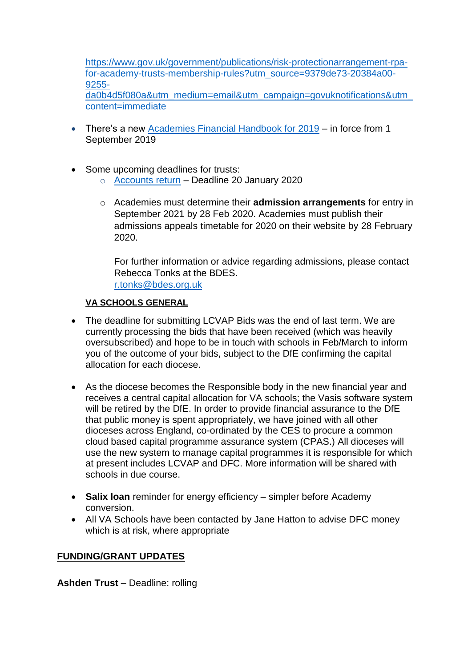[https://www.gov.uk/government/publications/risk-protectionarrangement-rpa](https://www.gov.uk/government/publications/risk-protectionarrangement-rpa-for-academy-trusts-membership-rules?utm_source=9379de73-20384a00-9255-da0b4d5f080a&utm_medium=email&utm_campaign=govuknotifications&utm_content=immediate)[for-academy-trusts-membership-rules?utm\\_source=9379de73-20384a00-](https://www.gov.uk/government/publications/risk-protectionarrangement-rpa-for-academy-trusts-membership-rules?utm_source=9379de73-20384a00-9255-da0b4d5f080a&utm_medium=email&utm_campaign=govuknotifications&utm_content=immediate) [9255](https://www.gov.uk/government/publications/risk-protectionarrangement-rpa-for-academy-trusts-membership-rules?utm_source=9379de73-20384a00-9255-da0b4d5f080a&utm_medium=email&utm_campaign=govuknotifications&utm_content=immediate) [da0b4d5f080a&utm\\_medium=email&utm\\_campaign=govuknotifications&utm\\_](https://www.gov.uk/government/publications/risk-protectionarrangement-rpa-for-academy-trusts-membership-rules?utm_source=9379de73-20384a00-9255-da0b4d5f080a&utm_medium=email&utm_campaign=govuknotifications&utm_content=immediate) [content=immediate](https://www.gov.uk/government/publications/risk-protectionarrangement-rpa-for-academy-trusts-membership-rules?utm_source=9379de73-20384a00-9255-da0b4d5f080a&utm_medium=email&utm_campaign=govuknotifications&utm_content=immediate)

- There's a new [Academies Financial Handbook for 2019](https://www.gov.uk/guidance/academies-financial-handbook) in force from 1 September 2019
- Some upcoming deadlines for trusts:
	- o [Accounts return](https://www.gov.uk/guidance/academies-financial-returns#submit-your-accounts-return) Deadline 20 January 2020
	- o Academies must determine their **admission arrangements** for entry in September 2021 by 28 Feb 2020. Academies must publish their admissions appeals timetable for 2020 on their website by 28 February 2020.

For further information or advice regarding admissions, please contact Rebecca Tonks at the BDES. [r.tonks@bdes.org.uk](mailto:r.tonks@bdes.org.uk)

### **VA SCHOOLS GENERAL**

- The deadline for submitting LCVAP Bids was the end of last term. We are currently processing the bids that have been received (which was heavily oversubscribed) and hope to be in touch with schools in Feb/March to inform you of the outcome of your bids, subject to the DfE confirming the capital allocation for each diocese.
- As the diocese becomes the Responsible body in the new financial year and receives a central capital allocation for VA schools; the Vasis software system will be retired by the DfE. In order to provide financial assurance to the DfE that public money is spent appropriately, we have joined with all other dioceses across England, co-ordinated by the CES to procure a common cloud based capital programme assurance system (CPAS.) All dioceses will use the new system to manage capital programmes it is responsible for which at present includes LCVAP and DFC. More information will be shared with schools in due course.
- **Salix loan** reminder for energy efficiency simpler before Academy conversion.
- All VA Schools have been contacted by Jane Hatton to advise DFC money which is at risk, where appropriate

#### **FUNDING/GRANT UPDATES**

**Ashden Trust** – Deadline: rolling